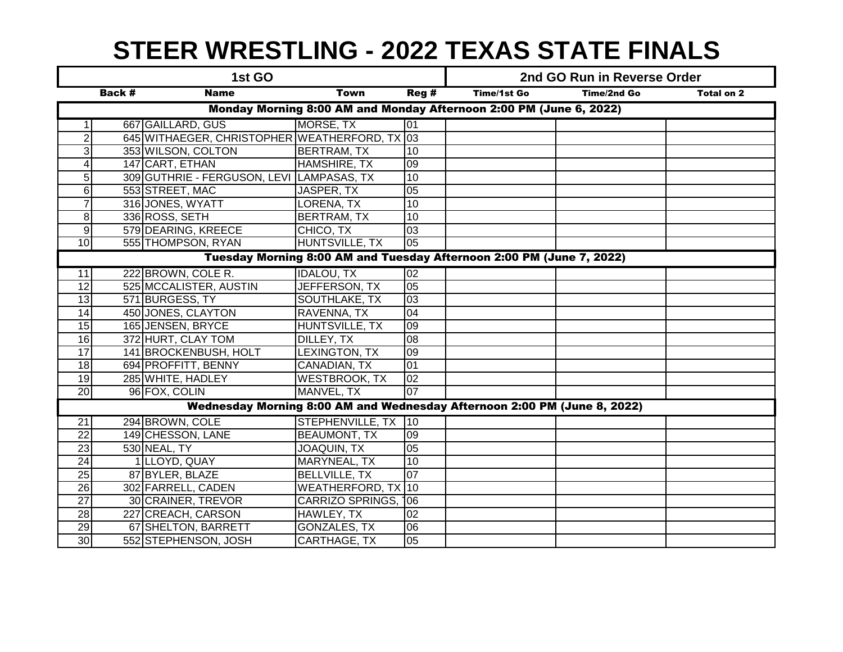## **STEER WRESTLING - 2022 TEXAS STATE FINALS**

|                                                                          |        | 1st GO                                        |                           | 2nd GO Run in Reverse Order |             |                    |                   |  |  |  |  |
|--------------------------------------------------------------------------|--------|-----------------------------------------------|---------------------------|-----------------------------|-------------|--------------------|-------------------|--|--|--|--|
|                                                                          | Back # | <b>Name</b>                                   | <b>Town</b>               | Reg#                        | Time/1st Go | <b>Time/2nd Go</b> | <b>Total on 2</b> |  |  |  |  |
| Monday Morning 8:00 AM and Monday Afternoon 2:00 PM (June 6, 2022)       |        |                                               |                           |                             |             |                    |                   |  |  |  |  |
| $\mathbf{1}$                                                             |        | 667 GAILLARD, GUS                             | MORSE, TX                 | 01                          |             |                    |                   |  |  |  |  |
| $\overline{2}$                                                           |        | 645 WITHAEGER, CHRISTOPHER WEATHERFORD, TX 03 |                           |                             |             |                    |                   |  |  |  |  |
| $\overline{3}$                                                           |        | 353 WILSON, COLTON                            | <b>BERTRAM, TX</b>        | $\overline{10}$             |             |                    |                   |  |  |  |  |
| $\overline{4}$                                                           |        | 147 CART, ETHAN                               | HAMSHIRE, TX              | 09                          |             |                    |                   |  |  |  |  |
| $5\phantom{.0}$                                                          |        | 309 GUTHRIE - FERGUSON, LEVI LAMPASAS, TX     |                           | 10                          |             |                    |                   |  |  |  |  |
| $6 \overline{6}$                                                         |        | 553 STREET, MAC                               | JASPER, TX                | 05                          |             |                    |                   |  |  |  |  |
| $\overline{7}$                                                           |        | 316 JONES, WYATT                              | LORENA, TX                | 10                          |             |                    |                   |  |  |  |  |
| 8                                                                        |        | 336 ROSS, SETH                                | <b>BERTRAM, TX</b>        | 10                          |             |                    |                   |  |  |  |  |
| $\overline{9}$                                                           |        | 579 DEARING, KREECE                           | CHICO, TX                 | 03                          |             |                    |                   |  |  |  |  |
| 10                                                                       |        | 555 THOMPSON, RYAN                            | <b>HUNTSVILLE, TX</b>     | 05                          |             |                    |                   |  |  |  |  |
| Tuesday Morning 8:00 AM and Tuesday Afternoon 2:00 PM (June 7, 2022)     |        |                                               |                           |                             |             |                    |                   |  |  |  |  |
| 11                                                                       |        | 222 BROWN, COLE R.                            | <b>IDALOU, TX</b>         | 02                          |             |                    |                   |  |  |  |  |
| $\overline{12}$                                                          |        | 525 MCCALISTER, AUSTIN                        | JEFFERSON, TX             | 05                          |             |                    |                   |  |  |  |  |
| $\overline{13}$                                                          |        | 571 BURGESS, TY                               | SOUTHLAKE, TX             | $\overline{03}$             |             |                    |                   |  |  |  |  |
| 14                                                                       |        | 450 JONES, CLAYTON                            | RAVENNA, TX               | $\overline{04}$             |             |                    |                   |  |  |  |  |
| 15                                                                       |        | 165 JENSEN, BRYCE                             | HUNTSVILLE, TX            | $\overline{09}$             |             |                    |                   |  |  |  |  |
| 16                                                                       |        | 372 HURT, CLAY TOM                            | DILLEY, TX                | $\overline{08}$             |             |                    |                   |  |  |  |  |
| 17                                                                       |        | 141 BROCKENBUSH, HOLT                         | LEXINGTON, TX             | $\overline{09}$             |             |                    |                   |  |  |  |  |
| 18                                                                       |        | 694 PROFFITT, BENNY                           | CANADIAN, TX              | 01                          |             |                    |                   |  |  |  |  |
| 19                                                                       |        | 285 WHITE, HADLEY                             | <b>WESTBROOK, TX</b>      | 02                          |             |                    |                   |  |  |  |  |
| 20                                                                       |        | 96 FOX, COLIN                                 | MANVEL, TX                | 07                          |             |                    |                   |  |  |  |  |
| Wednesday Morning 8:00 AM and Wednesday Afternoon 2:00 PM (June 8, 2022) |        |                                               |                           |                             |             |                    |                   |  |  |  |  |
| $\overline{21}$                                                          |        | 294 BROWN, COLE                               | STEPHENVILLE, TX 10       |                             |             |                    |                   |  |  |  |  |
| $\overline{22}$                                                          |        | 149 CHESSON, LANE                             | <b>BEAUMONT, TX</b>       | 09                          |             |                    |                   |  |  |  |  |
| 23                                                                       |        | 530 NEAL, TY                                  | <b>JOAQUIN, TX</b>        | 05                          |             |                    |                   |  |  |  |  |
| $\overline{24}$                                                          |        | 1 LLOYD, QUAY                                 | MARYNEAL, TX              | $\overline{10}$             |             |                    |                   |  |  |  |  |
| $\overline{25}$                                                          |        | 87 BYLER, BLAZE                               | <b>BELLVILLE, TX</b>      | $\overline{07}$             |             |                    |                   |  |  |  |  |
| $\overline{26}$                                                          |        | 302 FARRELL, CADEN                            | <b>WEATHERFORD, TX 10</b> |                             |             |                    |                   |  |  |  |  |
| 27                                                                       |        | 30 CRAINER, TREVOR                            | CARRIZO SPRINGS, 106      |                             |             |                    |                   |  |  |  |  |
| 28                                                                       |        | 227 CREACH, CARSON                            | HAWLEY, TX                | 02                          |             |                    |                   |  |  |  |  |
| $\overline{29}$                                                          |        | 67 SHELTON, BARRETT                           | <b>GONZALES, TX</b>       | 06                          |             |                    |                   |  |  |  |  |
| 30                                                                       |        | 552 STEPHENSON, JOSH                          | CARTHAGE, TX              | 05                          |             |                    |                   |  |  |  |  |